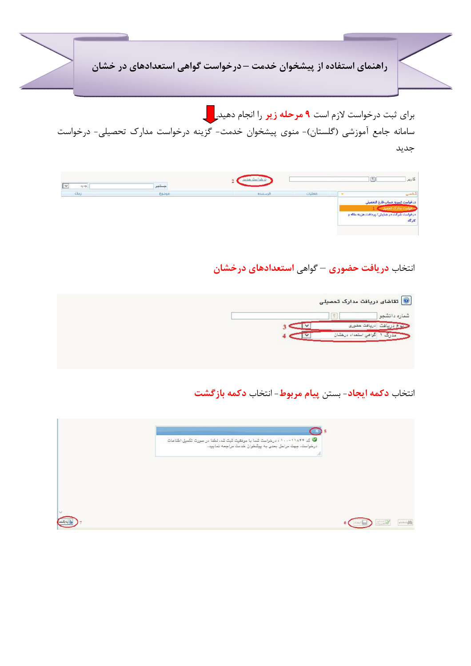راهنمای استفاده از پیشخوان خدمت – درخواست گواهی استعدادهای در خشان

برای ثبت درخواست لازم است **۹ مرحله زیر** را انجام دهید.<mark>را د</mark> سامانه جامع آموزشی (گلستان)- منوی پیشخوان خدمت- گزینه درخواست مدارک تحصیلی- درخواست جديد

| $\frac{1+\lambda}{2}$ | بستجر |         |        | $\sqrt{2}$ | كاربر                                       |
|-----------------------|-------|---------|--------|------------|---------------------------------------------|
| زمان                  | موضوع | فرستنده | عمليات |            |                                             |
|                       |       |         |        |            | درخواست تسويه حب                            |
|                       |       |         |        |            |                                             |
|                       |       |         |        |            | درخواست شرکت در همایش/ پرداخت هزینه مقاله و |
|                       |       |         |        |            | كاركاه                                      |

## انتخاب **دریافت حضوری** – گواهی <mark>استعدادهای درخشان</mark>

|  | تقاشای دریافت مدارک تحصیلی $\ket{\textcircled{\text{r}}}$ |
|--|-----------------------------------------------------------|
|  | شماره دانشجو                                              |
|  | حنوع دريافت ادريافت حضورى                                 |
|  |                                                           |
|  |                                                           |
|  |                                                           |

## انتخاب **دکمه ایجاد**- بستن **پیام مربوط**- انتخاب **دکمه بازگشت**

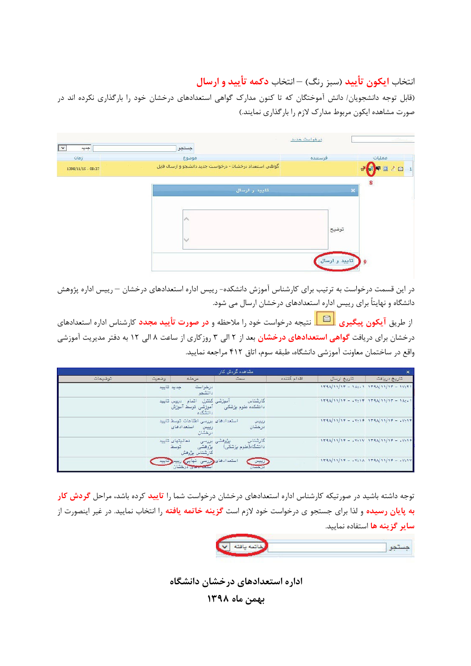انتخاب **ایکون تأیید** (سبز رنگ) —انتخاب **دکمه تأیید و ارسال** 

(قابل توجه دانشجویان/ دانش آموختگان که تا کنون مدارک گواهی استعدادهای درخشان خود را بارگذاری نکرده اند در صورت مشاهده ایکون مربوط مدارک لازم را بارگذاری نمایند.)

| $\frac{\gamma_{1}+\gamma_{2}}{\gamma_{2}}$<br>Olos: | جستجو<br>موضوع                                          | فرستنده | عمليات             |
|-----------------------------------------------------|---------------------------------------------------------|---------|--------------------|
| 1398/11/15 - 08:37                                  | گواهی استعداد درخشان - درخواست جدید دانشجو و ارسال فایل |         | 甲亚乙酯<br>T          |
|                                                     | تاييد و ارسال                                           |         | $\bf{8}$<br>$\ast$ |
|                                                     | $\mathcal{N}$                                           | توضيح   |                    |
|                                                     | V                                                       |         |                    |

در این قسمت درخواست به ترتیب برای کارشناس آموزش دانشکده- رییس اداره استعدادهای درخشان — رییس اداره پژوهش دانشگاه و نهایتاً برای رییس اداره استعدادهای درخشان ارسال می شود.

از طریق **آیکون پیگیری راستگاه** نتیجه درخواست خود را ملاحظه و **در صورت تأیید مجدد** کارشناس اداره استعدادهای درخشان برای دریافت **گواهی استعدادهای درخشان بی**د از ۲ الی ۳ روزکاری از ساعت ۸ الی ۱۲ به دفتر مدیریت آموزشی واقع در ساختمان معاونت آموزشی دانشگاه، طبقه سوم، اتاق ۴۱۲ مراجعه نمایید.

|         |                         |                                                                     | امشاهده گردش کار                                    |             |                                           | $\times$                                |
|---------|-------------------------|---------------------------------------------------------------------|-----------------------------------------------------|-------------|-------------------------------------------|-----------------------------------------|
| توضيحات | وضعيت                   | مرحله                                                               | سمت                                                 | اقدام كننده | تاريخ ارسال                               | تاريخ دريافت                            |
|         | جديد تاييد              | درخواست<br>دانشمو                                                   |                                                     |             | $114A/11/11 = 1A:1 114A/11/11 = 11:11$    |                                         |
|         |                         | آموزشی کنترل اتمام دروس تایید<br>دانشكده                            | کار شناس<br>دانشکده علوم پزشکی گه آموزشی توسط آموزش |             | $1194/11/18 - 11918 - 1194/11/18 - 11911$ |                                         |
|         |                         | استعدادهای بررسی اطلاعات توسط تایید<br>استعدادهای<br>رييس<br>درخشان | رييس<br>درخشان                                      |             | $1144/11/18 - 11919 - 1144/11/18 - 11918$ |                                         |
|         | فعاليتهاى تاييد<br>توسط | يزوهشى<br>كارشناس بؤوهش                                             | كارشناس<br>پژوهشی بررسی<br>دانشگاه(علوم پزشکی)      |             |                                           | $119A/11/19 - 4Y:1Y 119A/11/19 - 4Y:19$ |
|         | زنانيد                  | استعدادهای وررسی نهایی رییس<br>ستعاجلتي درهشان                      | رييس<br>درجسان                                      |             |                                           | $1734/11/17 - 1934$ $1734/11/17 - 1931$ |

توجه داشته باشید در صورتیکه کارشناس اداره استعدادهای درخشان درخواست شما را **تایید** کرده باشد، مراحل **گردش کار به پایان رسیده** و لذا برای جستجو ی درخواست خود لازم است **گزینه خاتمه یافته** را انتخاب نمایید. در غیر اینصورت از **سایر گزینه ها** استفاده نمایید.

|--|--|--|

اداره استعدادهای درخشان دانشگاه

بهمن ماه ۱۳۹۸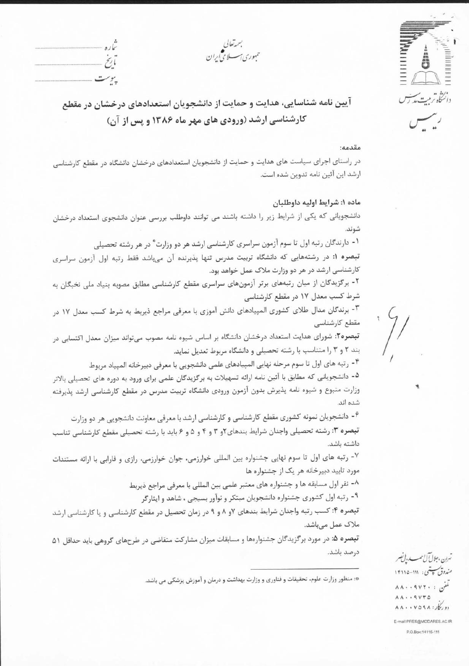حمهوری *اسس*لامی *ایرا*ن

نابخ پىرىت

آیین نامه شناسایی، هدایت و حمایت از دانشجویان استعدادهای درخشان در مقطع کارشناسی ارشد (ورودی های مهر ماه ۱۳۸۶ و پس از آن)

#### مقدمه:

انگاه ترمت مدارس

رسيس

در راستای اجرای سیاست های هدایت و حمایت از دانشجویان استعدادهای درخشان دانشگاه در مقطع کارشناسی ارشد این آئین نامه تدوین شده است.

#### ماده ۱: شرايط اوليه داوطلبان

دانشجویانی که یکی از شرایط زیر را داشته باشند می توانند داوطلب بررسی عنوان دانشجوی استعداد درخشان شوند.

۱- دارندگان رتبه اول تا سوم آزمون سراسری کارشناسی ارشد هر دو وزارت ٌ در هر رشته تحصیلی

تبصره ١: در رشتههایی که دانشگاه تربیت مدرس تنها پذیرنده آن میباشد فقط رتبه اول آزمون سراسری کارشناسی ارشد در هر دو وزارت ملاک عمل خواهد بود.

۲- برگزیدگان از میان رتبههای برتر آزمونهای سراسری مقطع کارشناسی مطابق مصوبه بنیاد ملی نخبگان به شرط کسب معدل ۱۷ در مقطع کارشناسی

٣- برندگان مدال طلای کشوری المپیادهای دانش آموزی با معرفی مراجع ذیربط به شرط کسب معدل ١٧ در مقطع کارشناسی

تبصره۲: شورای هدایت استعداد درخشان دانشگاه بر اساس شیوه نامه مصوب می تواند میزان معدل اکتسابی در بند ٢ و ٣ را متناسب با رشته تحصیلی و دانشگاه مربوط تعدیل نماید.

۴- رتبه های اول تا سوم مرحله نهایی المپیادهای علمی دانشجویی با معرفی دبیرخانه المپیاد مربوط

۵- دانشجویانی که مطابق با آئین نامه ارائه تسهیلات به برگزیدگان علمی برای ورود به دوره های تحصیلی بالاتر وزارت متبوع و شیوه نامه پذیرش بدون آزمون ورودی دانشگاه تربیت مدرس در مقطع کارشناسی ارشد پذیرفته شده اند.

۶- دانشجویان نمونه کشوری مقطع کارشناسی و کارشناسی ارشد با معرفی معاونت دانشجویی هر دو وزارت تبصره ٣: رشته تحصيلي واجدان شرايط بندهاى ٢و ٣ و ٢ و ۵ و ۶ بايد با رشته تحصيلي مقطع كارشناسي تناسب داشته باشد.

٧- رتبه های اول تا سوم نهایی جشنواره بین المللی خوارزمی، جوان خوارزمی، رازی و فارابی با ارائه مستندات مورد تایید دبیرخانه هر یک از جشنواره ها

۸- نفر اول مسابقه ها و جشنواره های معتبر علمی بین المللی با معرفی مراجع ذیربط

۹- رتبه اول کشوری جشنواره دانشجویان مبتکر و نوآور بسیجی ، شاهد و ایثارگر

تبصره ۴: کسب رتبه واجدان شرایط بندهای ۷و ۸ و ۹ در زمان تحصیل در مقطع کارشناسی و یا کارشناسی ارشد ملاک عمل میباشد.

تبصره ۵: در مورد برگزیدگان جشنوارهها و مسابقات میزان مشارکت متقاضی در طرحهای گروهی باید حداقل ۵۱ درصد باشد.

\*: منظور وزارت علوم، تحقیقات و فناوری و وزارت بهداشت و درمان و آموزش پزشکی می باشد.

تىرن ،جلالآل!سىد، بى نىسر مندوق پیتی: ۱۱۱-۱۴۱۱۵  $\lambda\lambda\cdot\cdot\cdot\forall x\cdot\colon\mathbb{R}^d$  $\lambda \lambda \cdot 9VY0$  $\Lambda\Lambda\cdots V\Omega 9\Lambda$ :  $\mathcal{L}_{1}$ E-mail:PRES@MODARES.AC.IR

P.O.Box:14115-111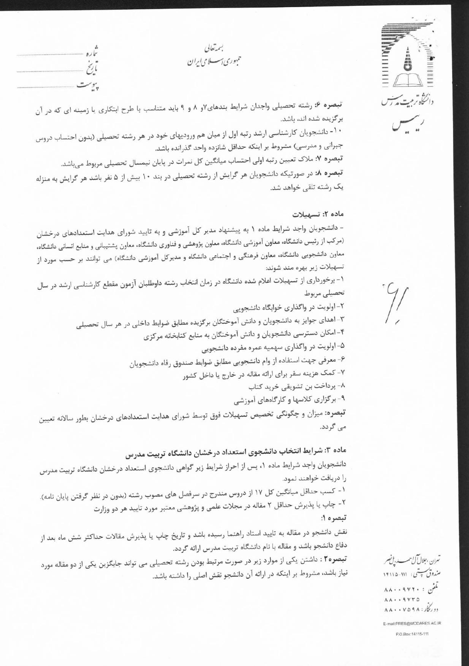بىمەتعالى حمهوری اسسلامی ایران

تباره نابح پەست



 $\overline{U_{n+1}}$ 

تبصره ۶: رشته تحصیلی واجدان شرایط بندهای۷و ۸ و ۹ باید متناسب با طرح ابتکاری یا زمینه ای که در آن برگزیده شده اند، باشد. ۱۰- دانشجویان کارشناسی ارشد رتبه اول از میان هم ورودیهای خود در هر رشته تحصیلی (بدون احتساب دروس جبرانی و مدرسی) مشروط بر اینکه حداقل شانزده واحد گذرانده باشد. تبصره ۷: ملاک تعیین رتبه اولی احتساب میانگین کل نمرات در پایان نیمسال تحصیلی مربوط میباشد. تبصره ٨: در صورتیکه دانشجویان هر گرایش از رشته تحصیلی در بند ١٠ بیش از ۵ نفر باشد هر گرایش به منزله یک رشته تلقی خواهد شد.

#### ماده ٢: تسهيلات

- دانشجویان واجد شرایط ماده ۱ به پیشنهاد مدیر کل آموزشی و به تایید شورای هدایت استعدادهای درخشان (مرکب از رئیس دانشگاه، معاون آموزشی دانشگاه، معاون پژوهشی و فناوری دانشگاه، معاون پشتیبانی و منابع انسانی دانشگاه، معاون دانشجویی دانشگاه، معاون فرهنگی و اجتماعی دانشگاه و مدیرکل آموزشی دانشگاه) می توانند بر حسب مورد از تسهيلات زير بهره مند شوند:

۱- برخورداری از تسهیلات اعلام شده دانشگاه در زمان انتخاب رشته داوطلبان آزمون مقطع کارشناسی ارشد در سال تحصيلى مربوط

۲- اولویت در واگذاری خوابگاه دانشجویی

۳- اهدای جوایز به دانشجویان و دانش آموختگان برگزیده مطابق ضوابط داخلی در هر سال تحصیلی

۴- امکان دسترسی دانشجویان و دانش آموختگان به منابع کتابخانه مرکزی

۵- اولویت در واگذاری سهمیه عمره مفرده دانشجویی

۶- معرفي جهت استفاده از وام دانشجويي مطابق ضوابط صندوق رفاه دانشجويان

۷- کمک هزینه سفر برای ارائه مقاله در خارج یا داخل کشور

۸- پرداخت بن تشویقی خرید کتاب

۹- برگزاری کلاسها و کارگاههای آموزشی

**تبصره:** میزان و چگونگی تخصیص تسهیلات فوق توسط شورای هدایت استعدادهای درخشان بطور سالانه تعیین می گردد.

# ماده ۳: شرایط انتخاب دانشجوی استعداد درخشان دانشگاه تربیت مدرس

دانشجویان واجد شرایط ماده ۱، پس از احراز شرایط زیر گواهی دانشجوی استعداد درخشان دانشگاه تربیت مدرس را دريافت خواهند نمود.

۱- کسب حداقل میانگین کل ۱۷ از دروس مندرج در سرفصل های مصوب رشته (بدون در نظر گرفتن پایان نامه). ۲- چاپ یا پذیرش حداقل ۲ مقاله در مجلات علمی و پژوهشی معتبر مورد تایید هر دو وزارت تبصره ۱:

نقش دانشجو در مقاله به تایید استاد راهنما رسیده باشد و تاریخ چاپ یا پذیرش مقالات حداکثر شش ماه بعد از دفاع دانشجو باشد و مقاله با نام دانشگاه تربیت مدرس ارائه گردد.

تبصره۲ : داشتن یکی از موارد زیر در صورت مرتبط بودن رشته تحصیلی می تواند جایگزین یکی از دو مقاله مورد نیاز باشد. مشروط بر اینکه در ارائه آن دانشجو نقش اصلی را داشته باشد.

تهران ،جلالآلُ حسب بالمُصر مندوق <del>ب ت</del>ى: ١١١-١٢١١٥  $\lambda\lambda\cdot\cdot\cdot\wedge\gamma\cdot\cdot\cdot$  $\Lambda \Lambda \cdot \cdot 9 V \tau \Delta$  $\Lambda\Lambda\cdot\cdot$  YOSA:  $\mathcal{L}_{1}$ E-mail:PRES@MODARES.AC.IR

P.O.Box:14115-111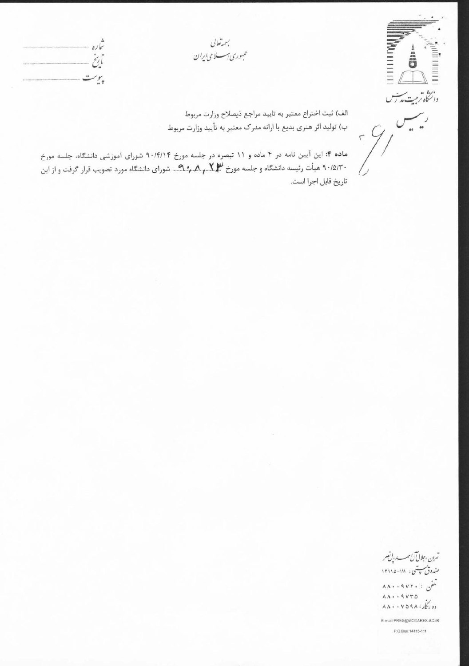بسمەتعالى حمهوری اسسلامی ایران





الف) ثبت اختراع معتبر به تاييد مراجع ذيصلاح وزارت مربوط ب) تولید اثر هنری بدیع با ارائه مدرک معتبر به تأیید وزارت مربوط

 $\overline{\phantom{a}}$  $\mathcal{C}_{1}$  $\overline{\Gamma}$ 

ماده ۴: این آیین نامه در ۴ ماده و ۱۱ تبصره در جلسه مورخ ۹۰/۴/۱۴ شورای آموزشی دانشگاه، جلسه مورخ ۹۰/۵/۳۰ هیأت رئیسه دانشگاه و جلسه مورخ ۲٫۰۸٫٫۰۲٫۴ شورای دانشگاه مورد تصویب قرار گرفت و از این تاريخ قابل اجرا است.

تىران ،جلالآل مىسىد، پان م مندوق پتنى: ١١١-١٢١١٥ تمفن : ۸۸۰۰۹۷۲۰  $\Lambda \Lambda \cdot \cdot 9 V T \Delta$  $\lambda \lambda \cdot \cdot \nu \Delta q \lambda$ :

E-mail:PRES@MODARES.AC.IR P.O.Box:14115-111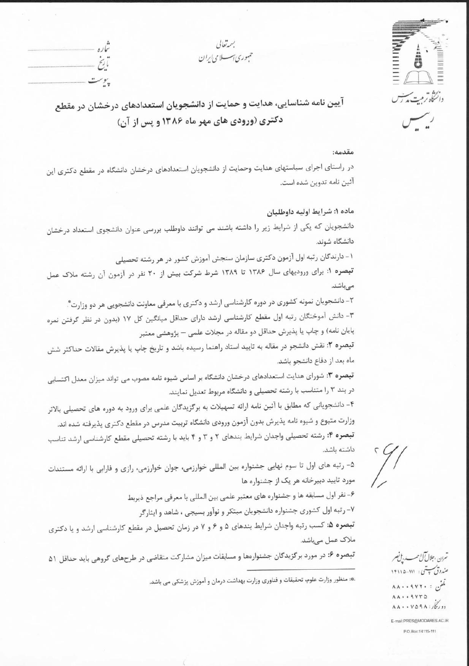دانگاه ترمت مدارس رسس

بستعالى حمهوري اسسلامي ابران

تباره أربخ ببوست

آیین نامه شناسایی، هدایت و حمایت از دانشجویان استعدادهای درخشان در مقطع دکتری (ورودی های مهر ماه ۱۳۸۶ و پس از آن)

#### مقدمه:

در راستای اجرای سیاستهای هدایت وحمایت از دانشجویان استعدادهای درخشان دانشگاه در مقطع دکتری این آئين نامه تدوين شده است.

### ماده ۱: شرايط اوليه داوطلبان

دانشجویان که یکی از شرایط زیر را داشته باشند می توانند داوطلب بررسی عنوان دانشجوی استعداد درخشان دانشگاه شوند.

۱- دارندگان رتبه اول آزمون دکتری سازمان سنجش آموزش کشور در هر رشته تحصیلی

تبصره ۱: برای ورودیهای سال ۱۳۸۶ تا ۱۳۸۹ شرط شرکت بیش از ۲۰ نفر در آزمون آن رشته ملاک عمل مى باشد.

۲- دانشجویان نمونه کشوری در دوره کارشناسی ارشد و دکتری با معرفی معاونت دانشجویی هر دو وزارت ٌ. ۳- دانش آموختگان رتبه اول مقطع کارشناسی ارشد دارای حداقل میانگین کل ۱۷ (بدون در نظر گرفتن نمره پایان نامه) و چاپ یا پذیرش حداقل دو مقاله در مجلات علمی — پژوهشی معتبر

تبصره ۲: نقش دانشجو در مقاله به تایید استاد راهنما رسیده باشد و تاریخ چاپ یا پذیرش مقالات حداکثر شش ماه بعد از دفاع دانشجو باشد.

تبصره ۳: شورای هدایت استعدادهای درخشان دانشگاه بر اساس شیوه نامه مصوب می تواند میزان معدل اکتسابی در بند ۳ را متناسب با رشته تحصیلی و دانشگاه مربوط تعدیل نمایند.

۴- دانشجویانی که مطابق با آئین نامه ارائه تسهیلات به برگزیدگان علمی برای ورود به دوره های تحصیلی بالاتر وزارت متبوع و شیوه نامه پذیرش بدون آزمون ورودی دانشگاه تربیت مدرس در مقطع دکتری پذیرفته شده اند. تبصره ۴: رشته تحصیلی واجدان شرایط بندهای ۲ و ۳ و ۴ باید با رشته تحصیلی مقطع کارشناسی ارشد تناسب داشته باشد.

۵- رتبه های اول تا سوم نهایی جشنواره بین المللی خوارزمی، جوان خوارزمی، رازی و فارابی با ارائه مستندات مورد تایید دبیرخانه هر یک از جشنواره ها

۶- نفر اول مسابقه ها و جشنواره های معتبر علمی بین المللی با معرفی مراجع ذیربط

٧- رتبه اول كشورى جشنواره دانشجويان مبتكر و نوآور بسيجي ، شاهد و ايثاركر

تبصره ۵: کسب رتبه واجدان شرایط بندهای ۵ و ۶ و ۷ در زمان تحصیل در مقطع کارشناسی ارشد و یا دکتری ملاک عمل میباشد.

تبصره ۶: در مورد برگزیدگان جشنوارهها و مسابقات میزان مشارکت متقاضی در طرحهای گروهی باید حداقل ۵۱

، منظور وزارت علوم. تحقيقات و فناوري وزارت بهداشت درمان و آموزش پزشكي مي باشد.

تهرن ،جلال ٓل حب، لم نصر مندوق سپستی : ۱۱۱-۱۴۱۱۵  $\Lambda\Lambda\cdot\cdot$  ۹۷۲۰ : ر $\mathcal{A}$  $\Lambda \Lambda \cdot \cdot 9 V F \Delta$  $\lambda \lambda \cdot \cdot \nu \Delta q \lambda$ :

E-mail:PRES@MODARES.AC.IR P.O.Box:14115-111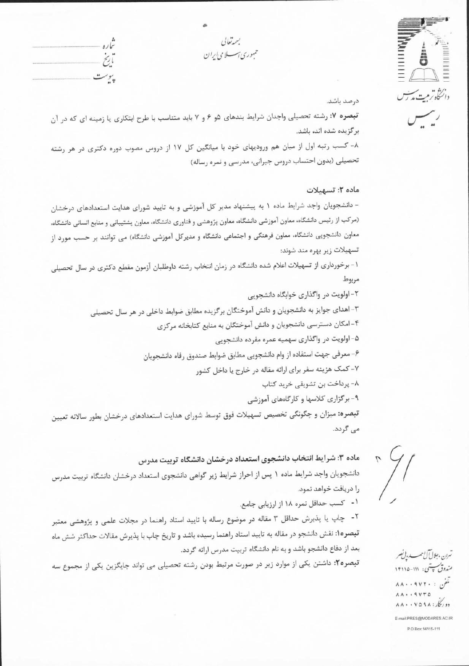|  | ×. |
|--|----|
|  |    |
|  | ۱, |
|  |    |

بسمةتعالى حمهوری اسسلامی ایران

 $\ddot{z}$ بيوست

درصد باشد.

تبصره ۷: رشته تحصیلی واجدان شرایط بندهای ۵و ۶ و ۷ باید متناسب با طرح ابتکاری یا زمینه ای که در آن بر گزیده شده اند، باشد.

۸- کسب رتبه اول از میان هم ورودیهای خود با میانگین کل ۱۷ از دروس مصوب دوره دکتری در هر رشته تحصیلی (بدون احتساب دروس جبرانی، مدرسی و نمره رساله)

### ماده ٢: تسهيلات

- دانشجویان واجد شرایط ماده ۱ به پیشنهاد مدیر کل آموزشی و به تایید شورای هدایت استعدادهای درخشان (مرکب از رئیس دانشگاه، معاون آموزشی دانشگاه، معاون پژوهشی و فناوری دانشگاه، معاون پشتیبانی و منابع انسانی دانشگاه. معاون دانشجویی دانشگاه، معاون فرهنگی و اجتماعی دانشگاه و مدیرکل آموزشی دانشگاه) می توانند بر حسب مورد از تسهيلات زير بهره مند شوند:

۱- برخورداری از تسهیلات اعلام شده دانشگاه در زمان انتخاب رشته داوطلبان آزمون مقطع دکتری در سال تحصیلی مربوط

٢- اولويت در واگذاري خوابگاه دانشجويي

٣- اهدای جوایز به دانشجویان و دانش آموختگان برگزیده مطابق ضوابط داخلی در هر سال تحصیلی

۴-امکان دسترسی دانشجویان و دانش آموختگان به منابع کتابخانه مرکزی

۵– اولویت در واگذاری سهمیه عمره مفرده دانشجویی

۶- معرفي جهت استفاده از وام دانشجويي مطابق ضوابط صندوق رفاه دانشجويان

۷- کمک هزینه سفر برای ارائه مقاله در خارج یا داخل کشور

٨- پرداخت بن تشويقى خريد كتاب

۹- برگزاری کلاسها و کارگاههای آموزشی تبصره: میزان و چگونگی تخصیص تسهیلات فوق توسط شورای هدایت استعدادهای درخشان بطور سالانه تعیین می گردد.

ماده ۳: شرایط انتخاب دانشجوی استعداد درخشان دانشگاه تربیت مدرس

دانشجویان واجد شرایط ماده ۱ پس از احراز شرایط زیر گواهی دانشجوی استعداد درخشان دانشگاه تربیت مدرس را دریافت خواهد نمود.

۱- کسب حداقل نمره ۱۸ از ارزیابی جامع.

۲- چاپ یا پذیرش حداقل ۳ مقاله در موضوع رساله با تایید استاد راهنما در مجلات علمی و پژوهشی معتبر تبصره1: نقش دانشجو در مقاله به تایید استاد راهنما رسیده باشد و تاریخ چاپ با پذیرش مقالات حداکثر شش ماه بعد از دفاع دانشجو باشد و به نام دانشگاه تربیت مدرس ارائه گردد.

تبصره۲: داشتن یکی از موارد زیر در صورت مرتبط بودن رشته تحصیلی می تواند جایگزین یکی از مجموع سه

نىرن ،جلالآل مىسىد، بانصر مندوق پستی: ۱۱۱-۱۴۱۱۵  $\Lambda\Lambda\cdot\cdot\mathcal{AVY}\cdot\colon\mathcal{A}$  $\Lambda \Lambda \cdot \cdot$  ۹ ۷۳۵  $\Lambda \Lambda \cdot \cdot \nu \Delta 9 \Lambda : f_{233}$ E-mail:PRES@MODARES.AC.IR

P.O.Box: 14115-111